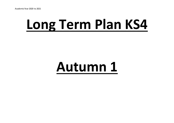## **Long Term Plan KS4**

#### **Autumn 1**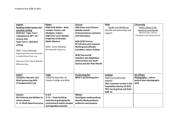| <b>English</b>                                          | <b>Maths</b>                                     | <b>Science</b>                                     | <b>PSHE</b>                                   | Citizenship                |
|---------------------------------------------------------|--------------------------------------------------|----------------------------------------------------|-----------------------------------------------|----------------------------|
| Reading modern prose and                                | <b>AQA GCSE Maths - Basic</b>                    | <b>AQA Entry Level Science</b>                     | <b>Health and Wellbeing</b>                   | Being a Citizen in UK:     |
| narrative writing                                       | number, Factors and                              | (double award)                                     | Identify and access help and                  | Democracy and Identity     |
| <b>WJEC ELC- Topic Test 1</b>                           | <b>Multiples, Indices</b>                        | <b>C2 Environment, evolution</b>                   | support                                       | What are the roles of      |
| 1. Response to 20th/21st                                | <b>AQA Entry Level Awards -</b>                  | and inheritance                                    |                                               | Parliament and Government? |
| century text                                            | <b>Properties of Number</b>                      |                                                    |                                               |                            |
| <b>Topic Test 3-. Narrative</b>                         | <b>Maths Mastery</b>                             | <b>AQA GCSE Science</b>                            |                                               |                            |
| writing                                                 |                                                  | <b>B3 infection and response</b>                   |                                               |                            |
|                                                         | <b>WJEC-Entry Pathways</b>                       | <b>Working scientifically</b>                      |                                               |                            |
| <b>WJEC-Entry Pathways</b>                              | <b>Working with Measures</b>                     | (variables, nature of data)                        |                                               |                            |
| <b>Exploring Events and Characters</b>                  |                                                  |                                                    |                                               |                            |
| in Audio/Visual Texts e.g.                              |                                                  | <b>WJEC Science HB</b>                             |                                               |                            |
|                                                         |                                                  | <b>Variation and Adaptation</b>                    |                                               |                            |
| <b>Characters from David Walliams</b>                   |                                                  | /Intervention unit work:                           |                                               |                            |
| <b>Billionaire Boy</b>                                  |                                                  | <b>Science and the Plant World</b>                 |                                               |                            |
|                                                         |                                                  |                                                    |                                               |                            |
|                                                         |                                                  |                                                    |                                               |                            |
|                                                         |                                                  |                                                    |                                               | Art / Photo                |
| <b>AutICT</b><br>Using the internet (yr1)               | <b>Trade</b><br><b>Using Painting Skills for</b> | <b>Performing Arts</b><br>What is performing arts? | Cooking                                       | Photography - nature       |
| Word processing skills                                  | <b>Interior Ceilings and Walls</b>               |                                                    | <b>YR10 Food and health</b>                   | project basic photography  |
| IT fundamentals (y2)                                    |                                                  |                                                    | 6164/E3                                       | skills                     |
|                                                         |                                                  |                                                    | YR11 Customer service in the                  |                            |
|                                                         |                                                  |                                                    | hospitality industry E3 6170                  |                            |
|                                                         |                                                  |                                                    | <b>YR11 Serving food and Drink</b><br>6169 E3 |                            |
|                                                         | D of E                                           | <b>IMedia</b>                                      |                                               |                            |
| <b>Careers</b><br><b>Ks4 Interests and abilities to</b> | Yr 11 - Team building,                           | Investigate media products                         |                                               |                            |
| inform choices                                          | Volunteering (helping the                        | Identify Media products,                           |                                               |                            |
| Yr. 11 Work Experience prep                             | environment and/or people)                       | audiences and purpose.                             |                                               |                            |
|                                                         |                                                  |                                                    |                                               |                            |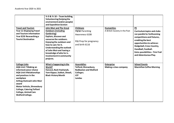| <b>Travel and Tourism</b><br><b>Year 11 Displaying Travel</b><br>and Tourism information<br>Year 9/10 Researching a<br><b>Tourist Destination</b>                                                                                                                                                                             | Yr 9 & Yr 10 - Team building,<br>Volunteering (helping the<br>environment and/or people)<br>and Expedition Section<br><b>John Muir and The Great</b><br><b>Outdoors (including</b><br>Gardening)<br><b>Explore, discover and</b><br>conserve the outdoors.<br><b>Enjoying the outdoors and</b><br>how to care for it.<br>Understanding the outlook<br>of John Muir and having a<br>knowledge of who he is.<br>Involvement in community<br>projects. | Childcare<br>Y9/10 Parenting<br>Awareness 6108<br>Y11 Prep for pregnancy<br>and birth 6116                     | <b>Humanities</b><br>A British Society in the Past | PE<br><b>Curriculum topics and clubs</b><br>run parallel to forthcoming<br>competitions and fixtures,<br>enabling the best<br>opportunities to achieve:<br>Dodgeball, Cross Country,<br>Handball, Football.<br><b>Extra possibilities - Trim Trail</b><br>and Adventurous Play. |
|-------------------------------------------------------------------------------------------------------------------------------------------------------------------------------------------------------------------------------------------------------------------------------------------------------------------------------|-----------------------------------------------------------------------------------------------------------------------------------------------------------------------------------------------------------------------------------------------------------------------------------------------------------------------------------------------------------------------------------------------------------------------------------------------------|----------------------------------------------------------------------------------------------------------------|----------------------------------------------------|---------------------------------------------------------------------------------------------------------------------------------------------------------------------------------------------------------------------------------------------------------------------------------|
| <b>College Links</b><br><b>AQA Unit 7 Making an</b><br>informed career choice<br><b>AQA Unit 9 Relationships</b><br>and practices in the<br>workplace<br><b>Arthog Outreach John Muir</b><br>award<br><b>Motor Vehicle, Shrewsbury</b><br><b>College, Catering Telford</b><br><b>College, Animal Care</b><br>Walford College. | What is happening in the<br>World?<br>Harvest, Rosh Hashanah,<br>Yom Kippur, Sukkot, Diwali,<br><b>Black History Month</b>                                                                                                                                                                                                                                                                                                                          | <b>Assemblies</b><br>Telford, Shrewsbury,<br><b>Rodbaston and Walford</b><br>Colleges.<br><b>JCP</b><br>Landau | <b>Enterprise</b><br>Making a class company        | <b>School Events</b><br><b>Macmillan Coffee Morning</b>                                                                                                                                                                                                                         |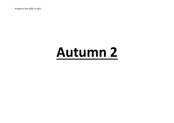Academic Year 2020 to 2021

### **Autumn 2**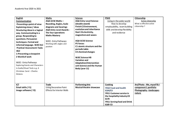| <b>English</b><br>Communication<br>Presenting a point of view<br>Explaining views / ideas<br><b>Structuring ideas in a logical</b><br>way. Communicating in a<br>group. Responding to<br>questions. Persuasion<br>techniques. Formal and<br>informal language. WJEC ELC<br><b>Practical Assessment: Tasks</b><br>1&2<br>1-Presenting a viewpoint<br>2 World of work<br><b>WJEC-Entry Pathways</b><br><b>Exploring Events and Characters</b><br>in Audio/Visual Texts e.g. A<br>Christmas Carol - Charles<br><b>Dickens</b> | <b>Maths</b><br><b>AQA GCSE Maths-</b><br><b>Rounding, Angles, Scale</b><br>diagrams and bearings<br><b>AQA Entry Level Awards -</b><br>The four operations<br><b>Maths Mastery</b><br><b>WJEC-Entry Pathways</b><br>Working with angles and<br>position | <b>Science</b><br><b>AQA Entry Level Science</b><br>(double award)<br>Finish C2 Environment,<br>evolution and inheritance<br><b>Start C6 electricity,</b><br>magnetism and waves<br><b>AQA GCSE Science</b><br><b>P5 forces</b><br>C1 atomic structure and the<br>periodic table<br><b>C4 chemical changes</b><br><b>WJEC Science HB</b><br><b>Variation and</b><br><b>Adaptation/Intervention</b><br>unit Science and the Human<br>Body (year 11) | <b>PSHE</b><br>Living in the wider world<br>How to develop<br>employability, team building<br>skills and develop flexibility<br>and resilience                        | Citizenship<br><b>Active Citizenship</b><br>What is effective active<br>citizenship?           |
|----------------------------------------------------------------------------------------------------------------------------------------------------------------------------------------------------------------------------------------------------------------------------------------------------------------------------------------------------------------------------------------------------------------------------------------------------------------------------------------------------------------------------|----------------------------------------------------------------------------------------------------------------------------------------------------------------------------------------------------------------------------------------------------------|----------------------------------------------------------------------------------------------------------------------------------------------------------------------------------------------------------------------------------------------------------------------------------------------------------------------------------------------------------------------------------------------------------------------------------------------------|-----------------------------------------------------------------------------------------------------------------------------------------------------------------------|------------------------------------------------------------------------------------------------|
| <b>ICT</b><br>Email skills (Y1)<br>Image software (Y2)                                                                                                                                                                                                                                                                                                                                                                                                                                                                     | <b>Trade</b><br><b>Using Decorative Paint</b><br><b>Effects for Interior Walls</b>                                                                                                                                                                       | <b>Performing Arts</b><br><b>Musical theatre showcase</b>                                                                                                                                                                                                                                                                                                                                                                                          | Cooking<br><b>YR10 Food and health</b><br>6164/E3<br>YR11 Customer service in<br>the hospitality industry E3<br>6170<br><b>YR11 Serving food and Drink</b><br>6169 E3 | Art/Photo - Me, myself & I<br>component 1 portfolio<br><b>Photography-landscapes</b><br>nature |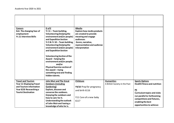| <b>Careers</b><br>Ks4. The changing face of<br>employment<br><b>Yr.11 Interview Skills</b> | D of E<br>Yr 11 - Team building,<br>Volunteering (helping the<br>environment and/or people)<br>and Expedition Section<br>Yr 9 & Yr 10 - Team building, | <b>IMedia</b><br><b>Explore how media products</b><br>are created to provide<br>meaning and engage<br>audiences<br>Genre, narrative, |                               |                                     |
|--------------------------------------------------------------------------------------------|--------------------------------------------------------------------------------------------------------------------------------------------------------|--------------------------------------------------------------------------------------------------------------------------------------|-------------------------------|-------------------------------------|
|                                                                                            | Volunteering (helping the<br>environment and/or people)<br>and Expedition Section                                                                      | representation and audience<br>interpretation                                                                                        |                               |                                     |
|                                                                                            | <b>Volunteering Section of the</b>                                                                                                                     |                                                                                                                                      |                               |                                     |
|                                                                                            | Award - helping the<br>environment and/or people.                                                                                                      |                                                                                                                                      |                               |                                     |
|                                                                                            | and/or<br><b>Physical Exercise section of</b>                                                                                                          |                                                                                                                                      |                               |                                     |
|                                                                                            | the award $-$ trying<br>something new and finding                                                                                                      |                                                                                                                                      |                               |                                     |
|                                                                                            | hidden talents.                                                                                                                                        |                                                                                                                                      |                               |                                     |
| <b>Travel and Tourism</b>                                                                  | <b>John Muir and The Great</b>                                                                                                                         | Childcare                                                                                                                            | <b>Humanities</b>             | <b>Sports Options</b>               |
| <b>Year 11 Displaying Travel</b>                                                           | <b>Outdoors (including</b>                                                                                                                             |                                                                                                                                      | A British Society in the Past | <b>Health Fitness and nutrition</b> |
| and Tourism information                                                                    | Gardening)                                                                                                                                             | Y9/10 Prep for pregnancy                                                                                                             |                               |                                     |
| Year 9/10 Researching a                                                                    | Explore, discover and                                                                                                                                  | and birth 6116                                                                                                                       |                               | PE                                  |
| <b>Tourist Destination</b>                                                                 | conserve the outdoors.                                                                                                                                 |                                                                                                                                      |                               | <b>Curriculum topics and clubs</b>  |
|                                                                                            | Enjoying the outdoors and                                                                                                                              | Y11 Care of a new baby                                                                                                               |                               | run parallel to forthcoming         |
|                                                                                            | how to care for it.                                                                                                                                    |                                                                                                                                      |                               | competitions and fixtures,          |
|                                                                                            | Understanding the outlook                                                                                                                              | 6117                                                                                                                                 |                               | enabling the best                   |
|                                                                                            | of John Muir and having a                                                                                                                              |                                                                                                                                      |                               | opportunities to achieve:           |
|                                                                                            | knowledge of who he is.                                                                                                                                |                                                                                                                                      |                               |                                     |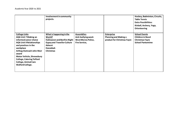|                                                                                                                                                                                                                                                                                                                                      | Involvement in community<br>projects.                                                                                                               |                                                                                               |                                                                                  | Hockey, Badminton, Circuits,<br><b>Table Tennis</b><br><b>Extra Possibilities:</b><br>Kinball, Archery, Yoga,<br><b>Orienteering</b> |
|--------------------------------------------------------------------------------------------------------------------------------------------------------------------------------------------------------------------------------------------------------------------------------------------------------------------------------------|-----------------------------------------------------------------------------------------------------------------------------------------------------|-----------------------------------------------------------------------------------------------|----------------------------------------------------------------------------------|--------------------------------------------------------------------------------------------------------------------------------------|
| <b>College Links</b><br><b>AQA Unit 7 Making an</b><br>informed career choice<br><b>AQA Unit 9 Relationships</b><br>and practices in the<br>workplace<br><b>Arthog Outreach John Muir</b><br>award<br><b>Motor Vehicle, Shrewsbury</b><br><b>College, Catering Telford</b><br><b>College, Animal Care</b><br><b>Walford College.</b> | What is happening in the<br>World?<br>Halloween and Bonfire Night  <br><b>Gypsy and Traveller Culture</b><br>Advent<br>Hanukkah<br><b>Christmas</b> | <b>Assemblies</b><br>Anti-bullying week<br><b>West Mercia Police,</b><br><b>Fire Service,</b> | <b>Enterprise</b><br><b>Planning and Making a</b><br>product for Christmas Fayre | <b>School Events</b><br><b>Children in Need</b><br><b>Christmas Fayre</b><br><b>School Pantomime</b>                                 |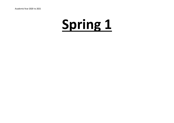Academic Year 2020 to 2021

# **Spring 1**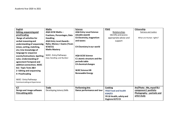| <b>English</b>                  | <b>Maths</b>                        | <b>Science</b>                 | <b>PSHE</b>                 | Citizenship                 |
|---------------------------------|-------------------------------------|--------------------------------|-----------------------------|-----------------------------|
| Editing, sequencing and         | <b>AQA GCSE Maths-</b>              | <b>AQA Entry Level Science</b> | Relationships               | <b>Fairness and Justice</b> |
| proofreading                    | <b>Fractions, Percentages, Data</b> | (double award)                 | Identify and access         |                             |
| Range of activities for         | <b>Handling</b>                     | C6 Electricity, magnetism      | appropriate advice and      | What are Human rights?      |
| verbal reasoning and            | <b>AQA Entry Level Awards -</b>     | and waves                      | support                     |                             |
| understanding of sequencing     | Ratio, Money + Exams (Years         |                                |                             |                             |
| (cloze, sorting, matching,      | 9/10/11                             | C4 Chemistry in our world      |                             |                             |
| etc.) Use knowledge of          | <b>Maths Mastery</b>                |                                |                             |                             |
| language to sequence            |                                     |                                |                             |                             |
| events/instructions. Spelling   | <b>WJEC-Entry Pathways</b>          | <b>AQA GCSE Science</b>        |                             |                             |
| rules. Understanding of         | Data Handling and Number            | C1 atomic structure and the    |                             |                             |
| agreement Temporal and          |                                     | periodictable                  |                             |                             |
| addition connectives. WJEC      |                                     | <b>C4 chemical changes</b>     |                             |                             |
| <b>ELC- Topic Tests 2&amp;4</b> |                                     |                                |                             |                             |
| 2- Editing and sequencing       |                                     | <b>WJEC Science HB</b>         |                             |                             |
| 4- Proofreading                 |                                     | <b>Renewable Energy</b>        |                             |                             |
|                                 |                                     |                                |                             |                             |
| <b>WJEC- Entry Pathways</b>     |                                     |                                |                             |                             |
| Communicating an Experience     |                                     |                                |                             |                             |
|                                 |                                     |                                |                             |                             |
| <b>ICT</b>                      | <b>Trade</b>                        | <b>Performing Arts</b>         | Cooking                     | Art/Photo - Me, myself & I  |
| Design and image software       | Developing Joinery Skills           | Dance performance and tour     | <b>YR10 Food and health</b> | component 1 portfolio       |
| <b>Film editing skills</b>      |                                     |                                | 6164/E3                     | Photography – portraits and |
|                                 |                                     |                                | YR 10 Health, safety and    | artist study                |
|                                 |                                     |                                | Hygiene 6172 E3             |                             |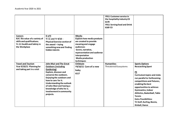|                                                                                                                               |                                                                                                                                                                                                                                                                                                                        |                                                                                                                                                                                                                                | YR11 Customer service in<br>the hospitality industry E3<br>6170<br><b>YR11 Serving food and Drink</b><br>6169 E3 |                                                                                                                                                                                                                                                                                                                                                                                         |
|-------------------------------------------------------------------------------------------------------------------------------|------------------------------------------------------------------------------------------------------------------------------------------------------------------------------------------------------------------------------------------------------------------------------------------------------------------------|--------------------------------------------------------------------------------------------------------------------------------------------------------------------------------------------------------------------------------|------------------------------------------------------------------------------------------------------------------|-----------------------------------------------------------------------------------------------------------------------------------------------------------------------------------------------------------------------------------------------------------------------------------------------------------------------------------------------------------------------------------------|
| <b>Careers</b><br>Ks4. the value of a variety of<br>skills and qualifications.<br>Yr.11 Health and Safety in<br>the Workplace | D of E<br>Yr 11 and Yr 9/10 -<br><b>Physical Exercise section of</b><br>the award $-$ trying<br>something new and finding<br>hidden talents                                                                                                                                                                            | <b>IMedia</b><br><b>Explore how media products</b><br>are created to provide<br>meaning and engage<br>audiences<br>Genre, narrative,<br>representation and audience<br>interpretation<br><b>Media production</b><br>techniques |                                                                                                                  |                                                                                                                                                                                                                                                                                                                                                                                         |
| <b>Travel and Tourism</b><br>Year 9/10/11 Planning for<br>and taking part in a visit                                          | <b>John Muir and The Great</b><br><b>Outdoors (including</b><br>Gardening)<br>Explore, discover and<br>conserve the outdoors.<br><b>Enjoying the outdoors and</b><br>how to care for it.<br>Understanding the outlook<br>of John Muir and having a<br>knowledge of who he is.<br>Involvement in community<br>projects. | Childcare<br>Y9/10/11 Care of a new<br>baby<br>6117                                                                                                                                                                            | <b>Humanities</b><br>Threatened Ecosystems                                                                       | <b>Sports Options</b><br><b>Researching Sport</b><br><b>PE</b><br><b>Curriculum topics and clubs</b><br>run parallel to forthcoming<br>competitions and fixtures,<br>enabling the best<br>opportunities to achieve:<br><b>Gymnastics, Indoor</b><br>Athletics, Basketball, Table<br><b>Tennis</b><br><b>Extra Possibilities:</b><br>Tri Golf, Kurling, Boccia,<br><b>Kinball, Dance</b> |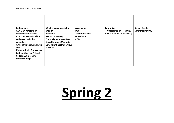| <b>College Links</b>             | What is happening in the       | <b>Assemblies</b> | <b>Enterprise</b>             | <b>School Events</b>      |
|----------------------------------|--------------------------------|-------------------|-------------------------------|---------------------------|
| <b>AQA Unit 7 Making an</b>      | World?                         | <b>DWP</b>        | What is market research?      | <b>Safer Internet Day</b> |
| informed career choice           | Epiphany                       | Apprenticeships   | How is it carried out and why |                           |
| <b>AQA Unit 9 Relationships</b>  | <b>Martin Luther Day</b>       | <b>Greenhous</b>  |                               |                           |
| and practices in the             | <b>Burns Night Chinese New</b> | <b>CITB</b>       |                               |                           |
| workplace                        | Year, Holocaust Memorial       |                   |                               |                           |
| <b>Arthog Outreach John Muir</b> | Day, Valentines Day, Shrove    |                   |                               |                           |
| award                            | Tuesday                        |                   |                               |                           |
| <b>Motor Vehicle, Shrewsbury</b> |                                |                   |                               |                           |
| <b>College, Catering Telford</b> |                                |                   |                               |                           |
| <b>College, Animal Care</b>      |                                |                   |                               |                           |
| <b>Walford College.</b>          |                                |                   |                               |                           |
|                                  |                                |                   |                               |                           |
|                                  |                                |                   |                               |                           |

# **Spring 2**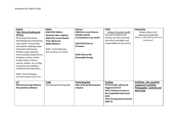| <b>English</b>                  | <b>Maths</b>                    | <b>Science</b>                 | <b>PSHE</b>                        | Citizenship                    |
|---------------------------------|---------------------------------|--------------------------------|------------------------------------|--------------------------------|
| <b>Non-literary Reading and</b> | <b>AQA GCSE Maths-</b>          | <b>AQA Entry Level Science</b> | Living in the wider world          | Being a Citizen in UK:         |
| <b>Writing</b>                  | Decimals, Basic Algebra         | (double award)                 | How personal financial             | Democracy and Identity         |
| Retrieving information.         | <b>AQA Entry Level Awards -</b> | C4 chemistry in our world      | choices can affect oneself         | What is understood by the term |
| Identifying and summarising     | <b>Time, Measures</b>           |                                | and others and rights and          | Britishness?                   |
| main points. Interpreting       | <b>Maths Mastery</b>            | <b>AQA GCSE Science</b>        | responsibility of consumers        |                                |
| information. Making simple      |                                 | P6 waves                       |                                    |                                |
| deductions/inferences.          | <b>WJEC-Entry Pathways</b>      |                                |                                    |                                |
| Writing to give opinions,       | Data Handling and Number        |                                |                                    |                                |
| inform and persuade (forms,     |                                 | <b>WJEC Science HB</b>         |                                    |                                |
| factsheet, article, review,     |                                 | <b>Renewable Energy</b>        |                                    |                                |
| emails, letters, notices,       |                                 |                                |                                    |                                |
| reports, articles, etc.) Using  |                                 |                                |                                    |                                |
| connectives for addition,       |                                 |                                |                                    |                                |
| emphasis and explanation.       |                                 |                                |                                    |                                |
|                                 |                                 |                                |                                    |                                |
| <b>WJEC- Entry Pathways</b>     |                                 |                                |                                    |                                |
| Communicating an Experience     |                                 |                                |                                    |                                |
|                                 |                                 |                                |                                    |                                |
| <b>ICT</b>                      | <b>Trade</b>                    | <b>Performing Arts</b>         | Cooking                            | Art/Photo - Me, myself & I     |
| Word processing software        | Developing Plumbing Skills      | Jobs in the performing arts    | YR 10 Health, safety and           | component 1 portfolio          |
| <b>Presentation software</b>    |                                 | industry                       | Hygiene 6172 E3                    | Photography - portraits and    |
|                                 |                                 |                                | YR11 Customer service in           | artist study                   |
|                                 |                                 |                                | the hospitality industry E3        |                                |
|                                 |                                 |                                | 6170                               |                                |
|                                 |                                 |                                | <b>YR11 Serving food and Drink</b> |                                |
|                                 |                                 |                                | 6169 E3                            |                                |
|                                 |                                 |                                |                                    |                                |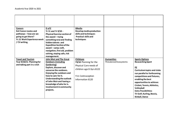| <b>Careers</b><br><b>Ks4 Career routes and</b><br>pathways - how are we<br>going to get there?<br><b>Yr.11 Work Experience week</b><br>/ CV writing, | D of E<br>Yr 11 and Yr 9/10 -<br><b>Physical Exercise section of</b><br>the award $-$ trying<br>something new and finding<br>hidden talents and<br><b>Expedition Section of the</b><br>award - camp craft,<br>navigation, first aid, problem<br>solving, staying safe, risk<br>management. | <b>IMedia</b><br>Develop media production<br>skills and techniques<br><b>Practical skills and</b><br>techniques |                                            |                                                                                                                                                                                                                 |
|------------------------------------------------------------------------------------------------------------------------------------------------------|--------------------------------------------------------------------------------------------------------------------------------------------------------------------------------------------------------------------------------------------------------------------------------------------|-----------------------------------------------------------------------------------------------------------------|--------------------------------------------|-----------------------------------------------------------------------------------------------------------------------------------------------------------------------------------------------------------------|
| <b>Travel and Tourism</b><br>Year 9/10/11 Planning for<br>and taking part in a visit                                                                 | <b>John Muir and The Great</b><br><b>Outdoors (including</b><br>Gardening)<br>Explore, discover and<br>conserve the outdoors.<br>Enjoying the outdoors and                                                                                                                                 | Childcare<br>Y9/10 Planning for the<br>Physical Care needs of<br>children age 0-3yrs 6122                       | <b>Humanities</b><br>Threatened Ecosystems | <b>Sports Options</b><br><b>Researching Sport</b><br>PE<br><b>Curriculum topics and clubs</b><br>run parallel to forthcoming                                                                                    |
|                                                                                                                                                      | how to care for it.<br>Understanding the outlook<br>of John Muir and having a<br>knowledge of who he is.<br>Involvement in community<br>projects.                                                                                                                                          | Y11 Contraception<br>information 6120                                                                           |                                            | competitions and fixtures,<br>enabling the best<br>opportunities to achieve:<br>Cricket, Tennis, Athletics,<br>Volleyball<br><b>Extra Possibilities:</b><br>Tri Golf, Kurling, Boccia,<br><b>Kinball, Dance</b> |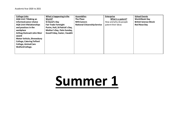| <b>College Links</b>             | What is happening in the       | <b>Assemblies</b>                   | <b>Enterprise</b>     | <b>School Events</b>        |
|----------------------------------|--------------------------------|-------------------------------------|-----------------------|-----------------------------|
| <b>AQA Unit 7 Making an</b>      | World?                         | <b>The Place</b>                    | What is a patent?     | <b>World Book Day</b>       |
| informed career choice           | St David's Day                 | <b>NHS Careers</b>                  | How and why do people | <b>British Science Week</b> |
| <b>AQA Unit 9 Relationships</b>  | <b>Fair Trade Fortnight</b>    | <b>National Citizenship Service</b> | patent their ideas    | <b>Red Nose Day</b>         |
| and practices in the             | Purim, Holi, St Patrick's Day, |                                     |                       |                             |
| workplace                        | Mother's Day, Palm Sunday,     |                                     |                       |                             |
| <b>Arthog Outreach John Muir</b> | Good Friday, Easter, Vasakhi   |                                     |                       |                             |
| award                            |                                |                                     |                       |                             |
| <b>Motor Vehicle, Shrewsbury</b> |                                |                                     |                       |                             |
| <b>College, Catering Telford</b> |                                |                                     |                       |                             |
| <b>College, Animal Care</b>      |                                |                                     |                       |                             |
| <b>Walford College.</b>          |                                |                                     |                       |                             |
|                                  |                                |                                     |                       |                             |
|                                  |                                |                                     |                       |                             |

### **Summer 1**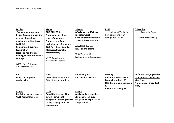| <b>English</b>                | <b>Maths</b>                       | <b>Science</b>                  | <b>PSHE</b>                                   | Citizenship                |
|-------------------------------|------------------------------------|---------------------------------|-----------------------------------------------|----------------------------|
| <b>Exam preparation: Non-</b> | <b>AQA GCSE Maths-</b>             | <b>AQA Entry Level Science</b>  | <b>Health and Wellbeing</b>                   | <b>Community Action</b>    |
| fiction Reading and Writing   | <b>Coordinates and linear</b>      | (double award)                  | How to respond in an                          |                            |
| A range of functional         | graphs, Sequences,                 | C4 chemistry in our world       | emergency, first aid                          | What is campaigning?       |
| reading and writing tasks.    | <b>Perimeter and Area</b>          | <b>Start C1 The Human Body</b>  |                                               |                            |
| <b>WJECELC</b>                | (including circle formulae)        |                                 |                                               |                            |
| <b>Component 1: Written</b>   | <b>AQA Entry Level Awards -</b>    | <b>AQA GCSE Science</b>         |                                               |                            |
| Examination                   | <b>Measures, Geometry</b>          | <b>Revision and exams</b>       |                                               |                            |
| (section a non-literary       | <b>Maths Mastery</b>               |                                 |                                               |                            |
| reading, section B functional |                                    | <b>WJEC Science HB</b>          |                                               |                            |
| writing)                      | <b>WJEC-Entry Pathways</b>         | <b>Making Useful Compounds</b>  |                                               |                            |
|                               | Working with Fractions             |                                 |                                               |                            |
| <b>WJEC-Entry Pathways</b>    |                                    |                                 |                                               |                            |
| <b>Exploring Film Genres</b>  |                                    |                                 |                                               |                            |
|                               |                                    |                                 |                                               |                            |
|                               |                                    |                                 |                                               |                            |
| <b>ICT</b>                    | <b>Trade</b>                       | <b>Performing Arts</b>          | Cooking                                       | Art/Photo - Me, myself & I |
| <b>Using IT to improve</b>    | Assemble Units for Interiors       | Introduction to drama           | 6168 Introduction to the                      | component 1 portfolio and  |
| productivity.                 | <b>Fitting Units for Interiors</b> |                                 | hospitality industry E3                       | <b>Mini Project</b>        |
|                               |                                    |                                 | 6165 Basic food preparation<br>E <sub>3</sub> | Photography - individual   |
|                               |                                    |                                 | 6166 Basic Cooking E3                         | study                      |
| <b>Careers</b>                | D of E                             | <b>IMedia</b>                   |                                               |                            |
| Ks4 Achieving career goals.   | <b>Expedition Section of the</b>   | Apply media production          |                                               |                            |
| Yr.11 Applying for jobs.      | award - camp craft,                | skills and techniques           |                                               |                            |
|                               | navigation, first aid, problem     | <b>Pre-production processes</b> |                                               |                            |
|                               | solving, staying safe, risk        | and practices                   |                                               |                            |
|                               | management.                        |                                 |                                               |                            |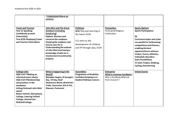| <b>Travel and Tourism</b><br>Year 11 Speaking<br>Confidently at work<br>(internship)<br>Year 9/10 Displaying Travel<br>and Tourism information                                                                                                                                                                                | *CONSOLIDATION of all<br>sections<br><b>John Muir and The Great</b><br><b>Outdoors (including</b><br>Gardening)<br>Explore, discover and<br>conserve the outdoors.<br>Enjoying the outdoors and<br>how to care for it.<br>Understanding the outlook<br>of John Muir and having a<br>knowledge of who he is.<br>Involvement in community<br>projects. | <b>Childcare</b><br>9/10 Play and learning in<br>the home 6134<br>Y11 Intro to the<br>development of children<br>and YP through play. 6134 | <b>Humanities</b><br>Festivals & Religious<br>Celebration                                      | <b>Sports Options</b><br><b>Sports Participation</b><br>PE<br><b>Curriculum topics and clubs</b><br>run parallel to forthcoming<br>competitions and fixtures,<br>enabling the best<br>opportunities to achieve:<br>Cricket, Tennis, Athletics,<br><b>Volleyball, Rounders</b><br><b>Extra Possibilities:</b><br>Tri Golf, Frisbee, Walking,<br><b>Cycling, Orienteering</b> |
|-------------------------------------------------------------------------------------------------------------------------------------------------------------------------------------------------------------------------------------------------------------------------------------------------------------------------------|------------------------------------------------------------------------------------------------------------------------------------------------------------------------------------------------------------------------------------------------------------------------------------------------------------------------------------------------------|--------------------------------------------------------------------------------------------------------------------------------------------|------------------------------------------------------------------------------------------------|-----------------------------------------------------------------------------------------------------------------------------------------------------------------------------------------------------------------------------------------------------------------------------------------------------------------------------------------------------------------------------|
| <b>College Links</b><br><b>AQA Unit 7 Making an</b><br>informed career choice<br><b>AQA Unit 9 Relationships</b><br>and practices in the<br>workplace<br><b>Arthog Outreach John Muir</b><br>award<br><b>Motor Vehicle, Shrewsbury</b><br><b>College, Catering Telford</b><br><b>College, Animal Care</b><br>Walford College. | What is happening in the<br>World?<br>Ramadan begins, St George's<br>Day, VE Day, Deaf<br>Awareness Week, World Fair<br>Trade, Ascension, Eid al-Fitr,<br><b>Shavuot, Pentecost</b>                                                                                                                                                                  | <b>Assemblies</b><br><b>Programme of Disability</b><br><b>Confident Employers in</b><br><b>Student Pathway Careers</b>                     | <b>Enterprise</b><br>What is customer feedback?<br>Why is feedback different<br>from research? | <b>School Events</b>                                                                                                                                                                                                                                                                                                                                                        |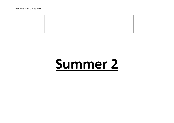## **Summer 2**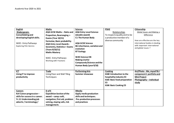| <b>English</b>                                                                                                                            | <b>Maths</b>                                                                                                                                                                                             | <b>Science</b>                                                                                                                                                                                             | <b>PSHE</b>                                                                                                                              | Citizenship                                                                                                            |
|-------------------------------------------------------------------------------------------------------------------------------------------|----------------------------------------------------------------------------------------------------------------------------------------------------------------------------------------------------------|------------------------------------------------------------------------------------------------------------------------------------------------------------------------------------------------------------|------------------------------------------------------------------------------------------------------------------------------------------|------------------------------------------------------------------------------------------------------------------------|
| Shakespeare.                                                                                                                              | <b>AQA GCSE Maths - Ratio and</b>                                                                                                                                                                        | <b>AQA Entry Level Science</b>                                                                                                                                                                             | Relationships                                                                                                                            | Global Issues and Making a                                                                                             |
| Consolidating and                                                                                                                         | <b>Proportion, Rearranging +</b>                                                                                                                                                                         | (double award)                                                                                                                                                                                             | To respect equality and to be                                                                                                            | Difference                                                                                                             |
| developing English skills.                                                                                                                | <b>Exams (Year 10/11)</b>                                                                                                                                                                                | <b>C1 The Human Body</b>                                                                                                                                                                                   | a productive member of a                                                                                                                 |                                                                                                                        |
| <b>WJEC-Entry Pathways</b><br><b>Exploring Film Genres</b>                                                                                | formulae, Basic probability<br><b>AQA Entry Level Awards -</b><br><b>Geometry, Statistics + Exams</b><br>(Years 9/10/11)<br><b>Maths Mastery</b><br><b>WJEC-Entry Pathways</b><br>Working with Fractions | <b>AQA GCSE Science</b><br>B6 inheritance, variation and<br>evolution<br><b>B7 Ecology</b><br><b>WJEC Science HB</b><br><b>Making Useful</b><br><b>Compounds/Science and the</b><br>Human Body (year 9/10) | diverse community                                                                                                                        | How are effective are the key<br>international bodies in dealing<br>with important international<br>and global issues? |
| <b>ICT</b><br><b>Using IT to improve</b><br>productivity                                                                                  | <b>Trade</b><br>Using Floor and Wall Tiling<br>Techniques                                                                                                                                                | <b>Performing Arts</b><br>Summer showcase                                                                                                                                                                  | Cooking<br>6168 Introduction to the<br>hospitality industry E3<br>6165 Basic food preparation<br>E <sub>3</sub><br>6166 Basic Cooking E3 | Art/Photo - Me, myself & I<br>component 1 portfolio and<br><b>Mini Project</b><br>Photography - individual<br>study    |
| <b>Careers</b><br>Ks4 Career progression-<br>skills for success in a career.<br><b>Yr.11 Understanding job</b><br>adverts / terminology / | D of E<br><b>Expedition Section of the</b><br>award $-$ camp craft,<br>navigation, first aid, problem<br>solving, staying safe, risk<br>management.                                                      | <b>IMedia</b><br>Apply media production<br>skills and techniques.<br><b>Pre-production processes</b><br>and practices                                                                                      |                                                                                                                                          |                                                                                                                        |